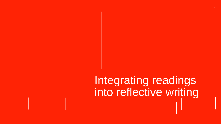# Integrating readings

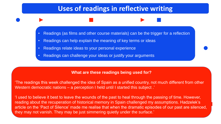# **Uses of readings in reflective writing**



- Readings can help explain the meaning of key terms or ideas
- Readings relate ideas to your personal experience
- Readings can challenge your ideas or justify your arguments

## **What are these readings being used for?**

Western democratic nations – a perception I held until I started this subject .'

- 'The readings this week challenged the idea of Spain as a unified country, not much different from other
- 'I used to believe it best to leave the wounds of the past to heal through the passing of time. However, reading about the recuperation of historical memory in Spain challenged my assumptions. Hadzelek's article on the 'Pact of Silence' made me realise that when the dramatic episodes of our past are silenced,



they may not vanish. They may be just simmering quietly under the surface.'



Readings (as films and other course materials) can be the trigger for a reflection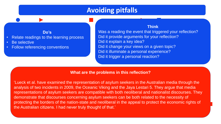# **Avoiding pitfalls**

## **Do's**

- Relate readings to the learning process
- Be selective
- Follow referencing conventions

## **What are the problems in this reflection?**

'Lueck et al. have examined the representation of asylum seekers in the Australian media through the analysis of two incidents in 2009, the Oceanic Viking and the Jaya Lestari 5. They argue that media representations of asylum seekers are compatible with both neoliberal and nationalist discourses. They demonstrate that discourses concerning asylum seekers can be both related to the necessity of protecting the borders of the nation-state and neoliberal in the appeal to protect the economic rights of the Australian citizens. I had never truly thought of that.'

## **Think**

Was a reading the event that triggered your reflection? Did it provide arguments for your reflection?

- Did it explain a key idea?
- Did it change your views on a given topic?
- Did it illuminate a personal experience?
- Did it trigger a personal reaction?

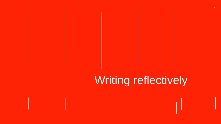

# Writing reflectively

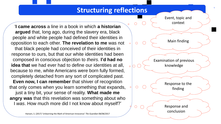5

'**I came across** a line in a book in which **a historian argued** that, long ago, during the slavery era, black people and white people had defined their identities in opposition to each other. **The revelation to me** was not that black people had conceived of their identities in response to ours, but that our white identities had been composed in conscious objection to *theirs*. **I'd had no idea that** we had ever had to define our identities at all, because to me, white Americans were born fully formed, completely detached from any sort of complicated past. **Even now, I can remember** that shiver of recognition that only comes when you learn something that expands, just a tiny bit, your sense of reality. **What made me angry was** that this revelation was something about who I *was*. How much more did I not know about myself?'

Hansen, S. (2017) 'Unlearning the Myth of American Innocence' *The Guardian* 08/08/2017

# **Structuring reflections**



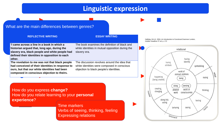## What are the main differences between genres?

### **REFLECTIVE WRITING ESSAY WRITING**

How do you express **change?** How do you relate learning to your **personal experience**?

| 'I came across a line in a book in which a<br>historian argued that, long ago, during the<br>slavery era, black people and white people had<br>defined their identities in opposition to each<br>other. | The book examines the<br>white identities in mutua<br>slavery era.               |
|---------------------------------------------------------------------------------------------------------------------------------------------------------------------------------------------------------|----------------------------------------------------------------------------------|
| The revelation to me was not that black people<br>had conceived of their identities in response to<br>ours, but that our white identities had been<br>composed in conscious objection to theirs.        | The discussion revolves<br>white identities were cor<br>objection to black peopl |

Halliday, M.A.K. 2004, *An Introduction to Functional Grammar* London, Hodder Headline 3<sup>rd</sup> ed. p. 172



Time markers Verbs of seeing, thinking, feeling Expressing relations



definition of black and al opposition during the

s around the idea that mposed in conscious le's identities.

# **Linguistic expression**